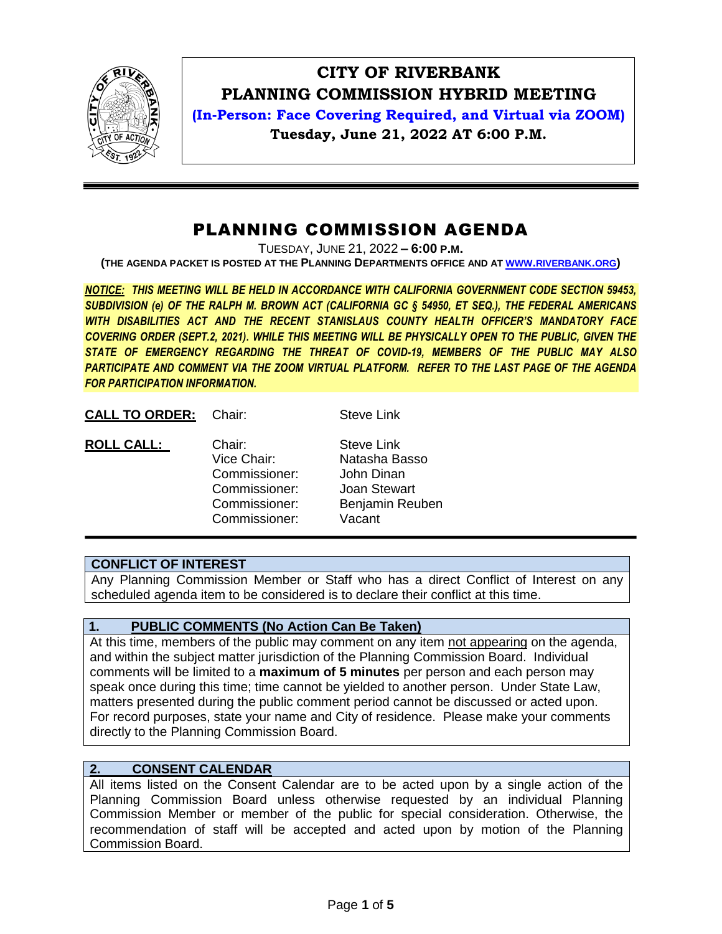

# **CITY OF RIVERBANK PLANNING COMMISSION HYBRID MEETING**

**(In-Person: Face Covering Required, and Virtual via ZOOM) Tuesday, June 21, 2022 AT 6:00 P.M.**

## PLANNING COMMISSION AGENDA

TUESDAY, JUNE 21, 2022 **– 6:00 P.M.**

**(THE AGENDA PACKET IS POSTED AT THE PLANNING DEPARTMENTS OFFICE AND AT WWW.[RIVERBANK](http://www.riverbank.org/).ORG)**

*NOTICE: THIS MEETING WILL BE HELD IN ACCORDANCE WITH CALIFORNIA GOVERNMENT CODE SECTION 59453, SUBDIVISION (e) OF THE RALPH M. BROWN ACT (CALIFORNIA GC § 54950, ET SEQ.), THE FEDERAL AMERICANS WITH DISABILITIES ACT AND THE RECENT STANISLAUS COUNTY HEALTH OFFICER'S MANDATORY FACE COVERING ORDER (SEPT.2, 2021). WHILE THIS MEETING WILL BE PHYSICALLY OPEN TO THE PUBLIC, GIVEN THE STATE OF EMERGENCY REGARDING THE THREAT OF COVID-19, MEMBERS OF THE PUBLIC MAY ALSO PARTICIPATE AND COMMENT VIA THE ZOOM VIRTUAL PLATFORM. REFER TO THE LAST PAGE OF THE AGENDA FOR PARTICIPATION INFORMATION.*

**CALL TO ORDER:** Chair: Steve Link

| <b>ROLL CALL:</b> | Chair:        | <b>Steve Link</b> |
|-------------------|---------------|-------------------|
|                   | Vice Chair:   | Natasha Basso     |
|                   | Commissioner: | John Dinan        |
|                   | Commissioner: | Joan Stewart      |
|                   | Commissioner: | Benjamin Reuben   |
|                   | Commissioner: | Vacant            |

## **CONFLICT OF INTEREST**

Any Planning Commission Member or Staff who has a direct Conflict of Interest on any scheduled agenda item to be considered is to declare their conflict at this time.

## **1. PUBLIC COMMENTS (No Action Can Be Taken)**

At this time, members of the public may comment on any item not appearing on the agenda, and within the subject matter jurisdiction of the Planning Commission Board. Individual comments will be limited to a **maximum of 5 minutes** per person and each person may speak once during this time; time cannot be yielded to another person. Under State Law, matters presented during the public comment period cannot be discussed or acted upon. For record purposes, state your name and City of residence. Please make your comments directly to the Planning Commission Board.

## **2. CONSENT CALENDAR**

All items listed on the Consent Calendar are to be acted upon by a single action of the Planning Commission Board unless otherwise requested by an individual Planning Commission Member or member of the public for special consideration. Otherwise, the recommendation of staff will be accepted and acted upon by motion of the Planning Commission Board.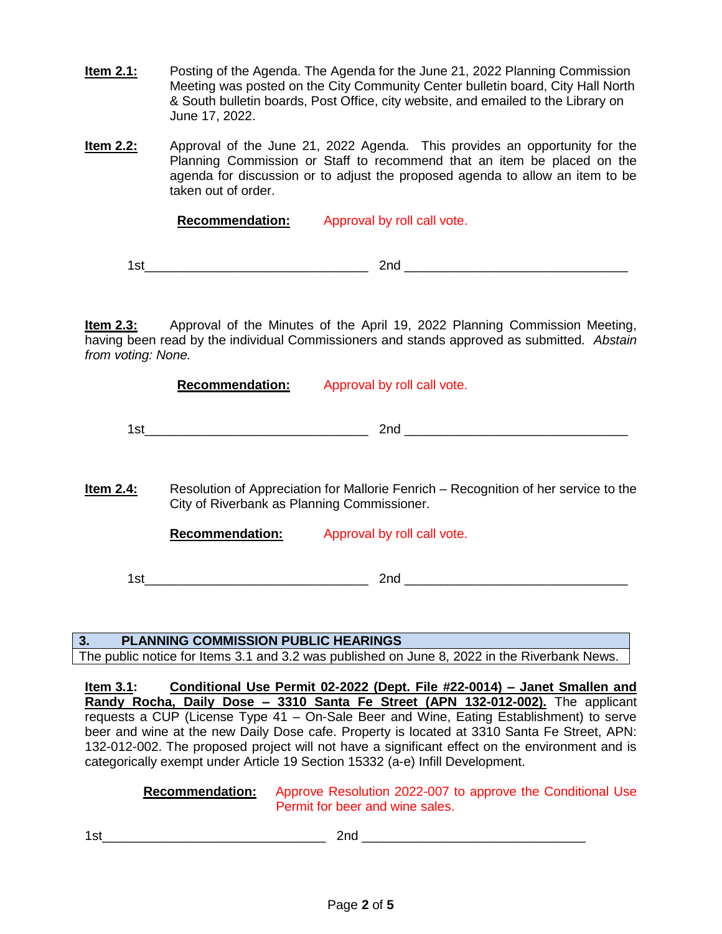- **Item 2.1:** Posting of the Agenda. The Agenda for the June 21, 2022 Planning Commission Meeting was posted on the City Community Center bulletin board, City Hall North & South bulletin boards, Post Office, city website, and emailed to the Library on June 17, 2022.
- **Item 2.2:** Approval of the June 21, 2022 Agenda. This provides an opportunity for the Planning Commission or Staff to recommend that an item be placed on the agenda for discussion or to adjust the proposed agenda to allow an item to be taken out of order.

**Recommendation:** Approval by roll call vote.

1st\_\_\_\_\_\_\_\_\_\_\_\_\_\_\_\_\_\_\_\_\_\_\_\_\_\_\_\_\_\_\_ 2nd \_\_\_\_\_\_\_\_\_\_\_\_\_\_\_\_\_\_\_\_\_\_\_\_\_\_\_\_\_\_\_

**Item 2.3:** Approval of the Minutes of the April 19, 2022 Planning Commission Meeting, having been read by the individual Commissioners and stands approved as submitted. *Abstain from voting: None.*

**Recommendation:** Approval by roll call vote.

 $1$ st $2$ nd  $\underline{\hspace{1cm}}$ 

**Item 2.4:** Resolution of Appreciation for Mallorie Fenrich – Recognition of her service to the City of Riverbank as Planning Commissioner.

**Recommendation:** Approval by roll call vote.

 $1$ st $2$ nd  $\overline{\phantom{a}}$ 

#### **3. PLANNING COMMISSION PUBLIC HEARINGS**

The public notice for Items 3.1 and 3.2 was published on June 8, 2022 in the Riverbank News.

**Item 3.1: Conditional Use Permit 02-2022 (Dept. File #22-0014) – Janet Smallen and Randy Rocha, Daily Dose – 3310 Santa Fe Street (APN 132-012-002).** The applicant requests a CUP (License Type 41 – On-Sale Beer and Wine, Eating Establishment) to serve beer and wine at the new Daily Dose cafe. Property is located at 3310 Santa Fe Street, APN: 132-012-002. The proposed project will not have a significant effect on the environment and is categorically exempt under Article 19 Section 15332 (a-e) Infill Development.

#### **Recommendation:** Approve Resolution 2022-007 to approve the Conditional Use Permit for beer and wine sales.

 $1$ st $2$ nd  $\underline{\hspace{1cm}}$   $2$ nd  $\underline{\hspace{1cm}}$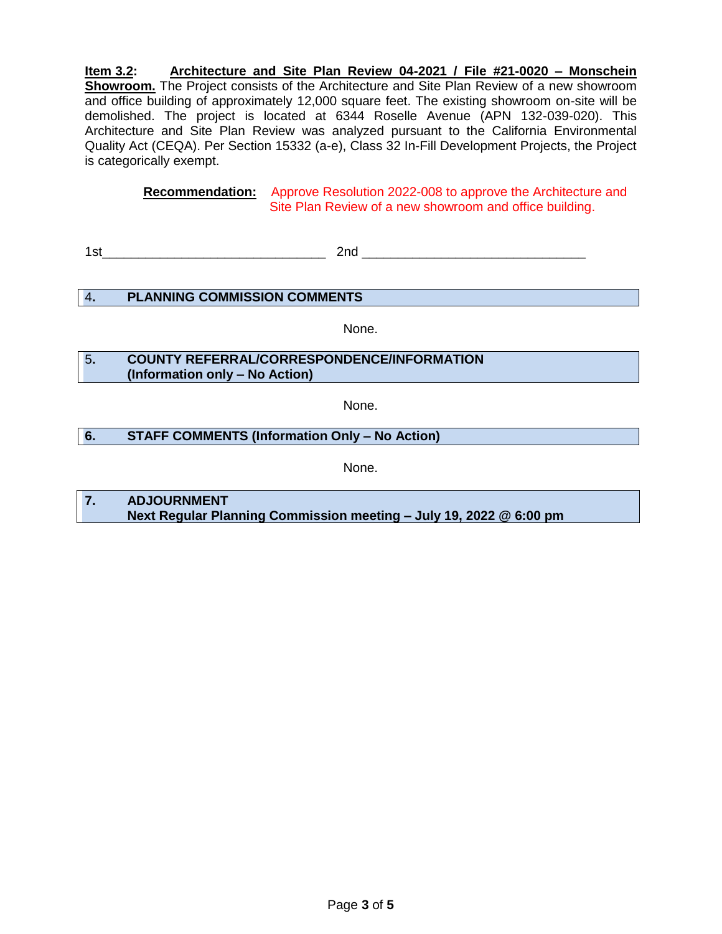**Item 3.2: Architecture and Site Plan Review 04-2021 / File #21-0020 – Monschein Showroom.** The Project consists of the Architecture and Site Plan Review of a new showroom and office building of approximately 12,000 square feet. The existing showroom on-site will be demolished. The project is located at 6344 Roselle Avenue (APN 132-039-020). This Architecture and Site Plan Review was analyzed pursuant to the California Environmental Quality Act (CEQA). Per Section 15332 (a-e), Class 32 In-Fill Development Projects, the Project is categorically exempt.

> **Recommendation:** Approve Resolution 2022-008 to approve the Architecture and Site Plan Review of a new showroom and office building.

1st\_\_\_\_\_\_\_\_\_\_\_\_\_\_\_\_\_\_\_\_\_\_\_\_\_\_\_\_\_\_\_ 2nd \_\_\_\_\_\_\_\_\_\_\_\_\_\_\_\_\_\_\_\_\_\_\_\_\_\_\_\_\_\_\_

#### 4**. PLANNING COMMISSION COMMENTS**

None.

### 5**. COUNTY REFERRAL/CORRESPONDENCE/INFORMATION (Information only – No Action)**

None.

#### **6. STAFF COMMENTS (Information Only – No Action)**

None.

**7. ADJOURNMENT Next Regular Planning Commission meeting – July 19, 2022 @ 6:00 pm**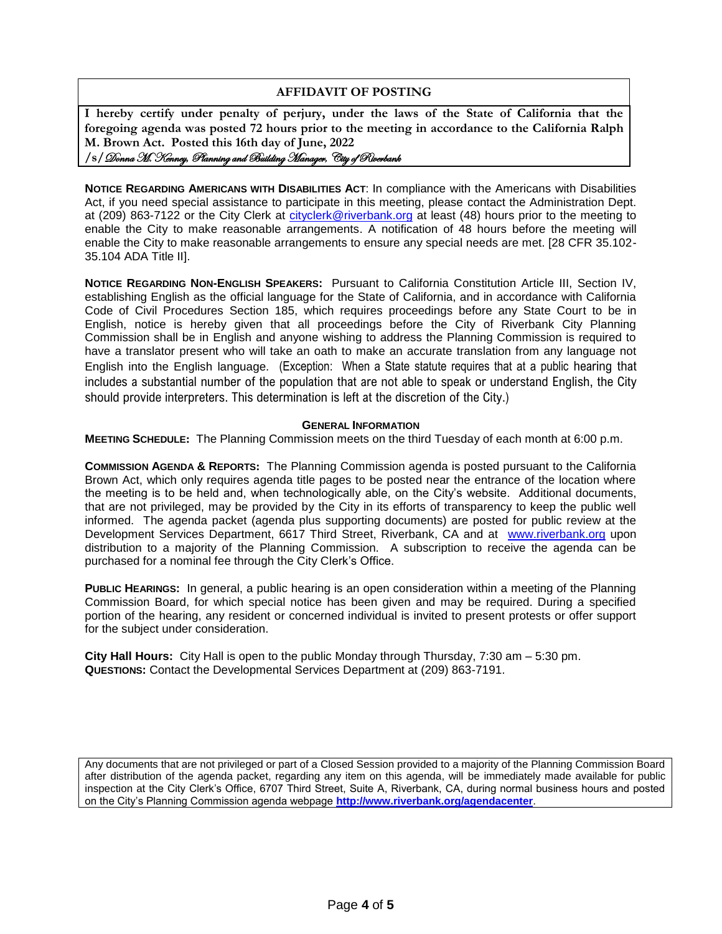#### **AFFIDAVIT OF POSTING**

**I hereby certify under penalty of perjury, under the laws of the State of California that the foregoing agenda was posted 72 hours prior to the meeting in accordance to the California Ralph M. Brown Act. Posted this 16th day of June, 2022 /s/**Donna M. Kenney, Planning and Building Manager, City of Riverbank

**NOTICE REGARDING AMERICANS WITH DISABILITIES ACT**: In compliance with the Americans with Disabilities Act, if you need special assistance to participate in this meeting, please contact the Administration Dept. at (209) 863-7122 or the City Clerk at [cityclerk@riverbank.org](mailto:cityclerk@riverbank.org) at least (48) hours prior to the meeting to enable the City to make reasonable arrangements. A notification of 48 hours before the meeting will enable the City to make reasonable arrangements to ensure any special needs are met. [28 CFR 35.102- 35.104 ADA Title II].

**NOTICE REGARDING NON-ENGLISH SPEAKERS:** Pursuant to California Constitution Article III, Section IV, establishing English as the official language for the State of California, and in accordance with California Code of Civil Procedures Section 185, which requires proceedings before any State Court to be in English, notice is hereby given that all proceedings before the City of Riverbank City Planning Commission shall be in English and anyone wishing to address the Planning Commission is required to have a translator present who will take an oath to make an accurate translation from any language not English into the English language. (Exception: When a State statute requires that at a public hearing that includes a substantial number of the population that are not able to speak or understand English, the City should provide interpreters. This determination is left at the discretion of the City.)

#### **GENERAL INFORMATION**

**MEETING SCHEDULE:** The Planning Commission meets on the third Tuesday of each month at 6:00 p.m.

**COMMISSION AGENDA & REPORTS:** The Planning Commission agenda is posted pursuant to the California Brown Act, which only requires agenda title pages to be posted near the entrance of the location where the meeting is to be held and, when technologically able, on the City's website. Additional documents, that are not privileged, may be provided by the City in its efforts of transparency to keep the public well informed. The agenda packet (agenda plus supporting documents) are posted for public review at the Development Services Department, 6617 Third Street, Riverbank, CA and at [www.riverbank.org](http://www.riverbank.org/) upon distribution to a majority of the Planning Commission. A subscription to receive the agenda can be purchased for a nominal fee through the City Clerk's Office.

**PUBLIC HEARINGS:** In general, a public hearing is an open consideration within a meeting of the Planning Commission Board, for which special notice has been given and may be required. During a specified portion of the hearing, any resident or concerned individual is invited to present protests or offer support for the subject under consideration.

**City Hall Hours:** City Hall is open to the public Monday through Thursday, 7:30 am – 5:30 pm. **QUESTIONS:** Contact the Developmental Services Department at (209) 863-7191.

Any documents that are not privileged or part of a Closed Session provided to a majority of the Planning Commission Board after distribution of the agenda packet, regarding any item on this agenda, will be immediately made available for public inspection at the City Clerk's Office, 6707 Third Street, Suite A, Riverbank, CA, during normal business hours and posted on the City's Planning Commission agenda webpage **<http://www.riverbank.org/agendacenter>**.